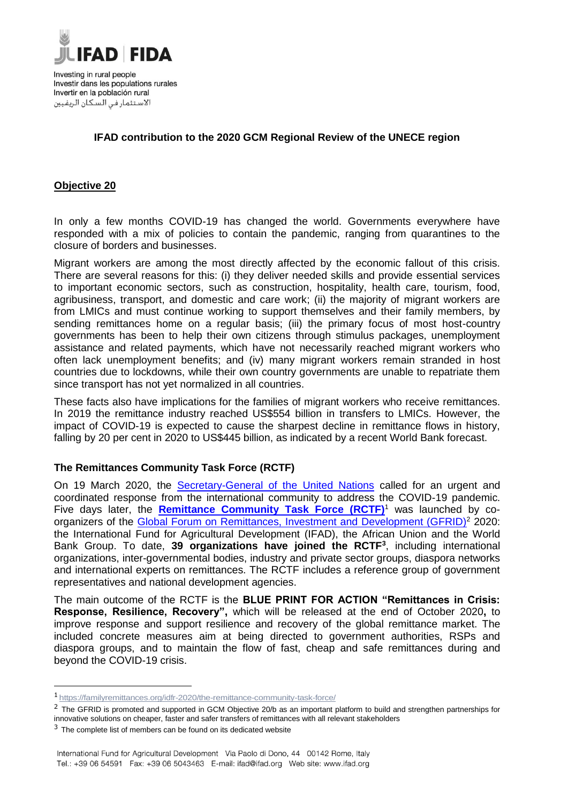

## **IFAD contribution to the 2020 GCM Regional Review of the UNECE region**

## **Objective 20**

In only a few months COVID-19 has changed the world. Governments everywhere have responded with a mix of policies to contain the pandemic, ranging from quarantines to the closure of borders and businesses.

Migrant workers are among the most directly affected by the economic fallout of this crisis. There are several reasons for this: (i) they deliver needed skills and provide essential services to important economic sectors, such as construction, hospitality, health care, tourism, food, agribusiness, transport, and domestic and care work; (ii) the majority of migrant workers are from LMICs and must continue working to support themselves and their family members, by sending remittances home on a regular basis; (iii) the primary focus of most host-country governments has been to help their own citizens through stimulus packages, unemployment assistance and related payments, which have not necessarily reached migrant workers who often lack unemployment benefits; and (iv) many migrant workers remain stranded in host countries due to lockdowns, while their own country governments are unable to repatriate them since transport has not yet normalized in all countries.

These facts also have implications for the families of migrant workers who receive remittances. In 2019 the remittance industry reached US\$554 billion in transfers to LMICs. However, the impact of COVID-19 is expected to cause the sharpest decline in remittance flows in history, falling by 20 per cent in 2020 to US\$445 billion, as indicated by a recent World Bank forecast.

## **The Remittances Community Task Force (RCTF)**

On 19 March 2020, the [Secretary-General of the United Nations](https://news.un.org/en/story/2020/03/1059752?utm_source=UN+News+-+Newsletter&utm_campaign=f088bd7554-EMAIL_CAMPAIGN_2020_03_20_12_20&utm_medium=email&utm_term=0_fdbf1af606-f088bd7554-105793529) called for an urgent and coordinated response from the international community to address the COVID-19 pandemic. Five days later, the **[Remittance Community Task Force \(RCTF\)](https://familyremittances.org/idfr-2020/the-remittance-community-task-force/)**<sup>1</sup> was launched by coorganizers of the Global Forum on Remittances, Investment and Development  $(GFRID)^2$  2020: the International Fund for Agricultural Development (IFAD), the African Union and the World Bank Group. To date, **39 organizations have joined the RCTF<sup>3</sup>** , including international organizations, inter-governmental bodies, industry and private sector groups, diaspora networks and international experts on remittances. The RCTF includes a reference group of government representatives and national development agencies.

The main outcome of the RCTF is the **BLUE PRINT FOR ACTION "Remittances in Crisis: Response, Resilience, Recovery",** which will be released at the end of October 2020**,** to improve response and support resilience and recovery of the global remittance market. The included concrete measures aim at being directed to government authorities, RSPs and diaspora groups, and to maintain the flow of fast, cheap and safe remittances during and beyond the COVID-19 crisis.

-

<sup>1</sup> <https://familyremittances.org/idfr-2020/the-remittance-community-task-force/>

<sup>&</sup>lt;sup>2</sup> The GFRID is promoted and supported in GCM Objective 20/b as an important platform to build and strengthen partnerships for innovative solutions on cheaper, faster and safer transfers of remittances with all relevant stakeholders

 $3$  The complete list of members can be found on its dedicated website